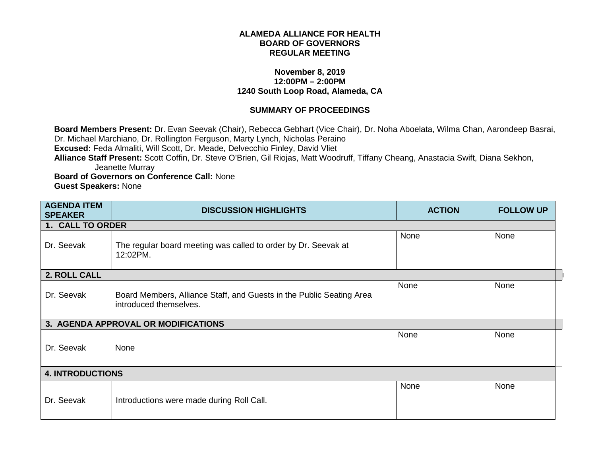## **ALAMEDA ALLIANCE FOR HEALTH BOARD OF GOVERNORS REGULAR MEETING**

## **November 8, 2019 12:00PM – 2:00PM 1240 South Loop Road, Alameda, CA**

## **SUMMARY OF PROCEEDINGS**

**Board Members Present:** Dr. Evan Seevak (Chair), Rebecca Gebhart (Vice Chair), Dr. Noha Aboelata, Wilma Chan, Aarondeep Basrai, Dr. Michael Marchiano, Dr. Rollington Ferguson, Marty Lynch, Nicholas Peraino **Excused:** Feda Almaliti, Will Scott, Dr. Meade, Delvecchio Finley, David Vliet **Alliance Staff Present:** Scott Coffin, Dr. Steve O'Brien, Gil Riojas, Matt Woodruff, Tiffany Cheang, Anastacia Swift, Diana Sekhon, Jeanette Murray **Board of Governors on Conference Call:** None

**Guest Speakers:** None

| <b>AGENDA ITEM</b><br><b>SPEAKER</b> | <b>DISCUSSION HIGHLIGHTS</b>                                                                   | <b>ACTION</b> | <b>FOLLOW UP</b> |
|--------------------------------------|------------------------------------------------------------------------------------------------|---------------|------------------|
| 1. CALL TO ORDER                     |                                                                                                |               |                  |
| Dr. Seevak                           | The regular board meeting was called to order by Dr. Seevak at<br>12:02PM.                     | None          | None             |
| 2. ROLL CALL                         |                                                                                                |               |                  |
| Dr. Seevak                           | Board Members, Alliance Staff, and Guests in the Public Seating Area<br>introduced themselves. | None          | None             |
|                                      | 3. AGENDA APPROVAL OR MODIFICATIONS                                                            |               |                  |
| Dr. Seevak                           | None                                                                                           | None          | None             |
| <b>4. INTRODUCTIONS</b>              |                                                                                                |               |                  |
| Dr. Seevak                           | Introductions were made during Roll Call.                                                      | None          | None             |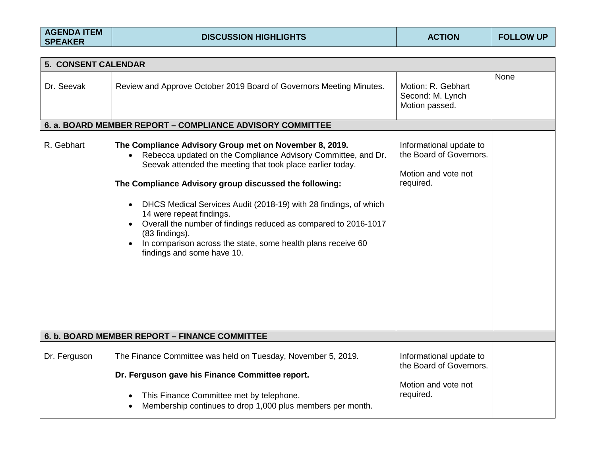| <b>AGENDA ITEM</b><br><b>SPEAKER</b> | <b>DISCUSSION HIGHLIGHTS</b>                                                                                                                                                                                                                                                                                                                                                                                                                                                                                                                                                           | <b>ACTION</b>                                                                          | <b>FOLLOW UP</b> |
|--------------------------------------|----------------------------------------------------------------------------------------------------------------------------------------------------------------------------------------------------------------------------------------------------------------------------------------------------------------------------------------------------------------------------------------------------------------------------------------------------------------------------------------------------------------------------------------------------------------------------------------|----------------------------------------------------------------------------------------|------------------|
|                                      |                                                                                                                                                                                                                                                                                                                                                                                                                                                                                                                                                                                        |                                                                                        |                  |
| 5. CONSENT CALENDAR                  |                                                                                                                                                                                                                                                                                                                                                                                                                                                                                                                                                                                        |                                                                                        |                  |
| Dr. Seevak                           | Review and Approve October 2019 Board of Governors Meeting Minutes.                                                                                                                                                                                                                                                                                                                                                                                                                                                                                                                    | Motion: R. Gebhart<br>Second: M. Lynch<br>Motion passed.                               | None             |
|                                      | 6. a. BOARD MEMBER REPORT - COMPLIANCE ADVISORY COMMITTEE                                                                                                                                                                                                                                                                                                                                                                                                                                                                                                                              |                                                                                        |                  |
| R. Gebhart                           | The Compliance Advisory Group met on November 8, 2019.<br>Rebecca updated on the Compliance Advisory Committee, and Dr.<br>$\bullet$<br>Seevak attended the meeting that took place earlier today.<br>The Compliance Advisory group discussed the following:<br>DHCS Medical Services Audit (2018-19) with 28 findings, of which<br>$\bullet$<br>14 were repeat findings.<br>Overall the number of findings reduced as compared to 2016-1017<br>$\bullet$<br>(83 findings).<br>In comparison across the state, some health plans receive 60<br>$\bullet$<br>findings and some have 10. | Informational update to<br>the Board of Governors.<br>Motion and vote not<br>required. |                  |
|                                      | 6. b. BOARD MEMBER REPORT - FINANCE COMMITTEE                                                                                                                                                                                                                                                                                                                                                                                                                                                                                                                                          |                                                                                        |                  |
| Dr. Ferguson                         | The Finance Committee was held on Tuesday, November 5, 2019.<br>Dr. Ferguson gave his Finance Committee report.<br>This Finance Committee met by telephone.<br>$\bullet$                                                                                                                                                                                                                                                                                                                                                                                                               | Informational update to<br>the Board of Governors.<br>Motion and vote not<br>required. |                  |
|                                      | Membership continues to drop 1,000 plus members per month.<br>$\bullet$                                                                                                                                                                                                                                                                                                                                                                                                                                                                                                                |                                                                                        |                  |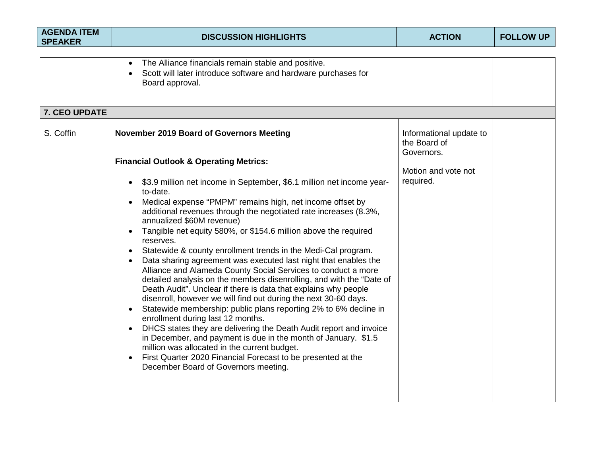| <b>AGENDA ITEM</b><br><b>SPEAKER</b> | <b>DISCUSSION HIGHLIGHTS</b>                                                                                                                                                                                                                                                                                                                                                                                                                                                                                                                                                                                                                                                                                                                                                                                                                                                                                                                                                                                                                                                                                                                                                                                                                                                                  | <b>ACTION</b>                                                                             | <b>FOLLOW UP</b> |
|--------------------------------------|-----------------------------------------------------------------------------------------------------------------------------------------------------------------------------------------------------------------------------------------------------------------------------------------------------------------------------------------------------------------------------------------------------------------------------------------------------------------------------------------------------------------------------------------------------------------------------------------------------------------------------------------------------------------------------------------------------------------------------------------------------------------------------------------------------------------------------------------------------------------------------------------------------------------------------------------------------------------------------------------------------------------------------------------------------------------------------------------------------------------------------------------------------------------------------------------------------------------------------------------------------------------------------------------------|-------------------------------------------------------------------------------------------|------------------|
| 7. CEO UPDATE                        | The Alliance financials remain stable and positive.<br>Scott will later introduce software and hardware purchases for<br>Board approval.                                                                                                                                                                                                                                                                                                                                                                                                                                                                                                                                                                                                                                                                                                                                                                                                                                                                                                                                                                                                                                                                                                                                                      |                                                                                           |                  |
| S. Coffin                            | <b>November 2019 Board of Governors Meeting</b><br><b>Financial Outlook &amp; Operating Metrics:</b><br>\$3.9 million net income in September, \$6.1 million net income year-<br>$\bullet$<br>to-date.<br>Medical expense "PMPM" remains high, net income offset by<br>additional revenues through the negotiated rate increases (8.3%,<br>annualized \$60M revenue)<br>Tangible net equity 580%, or \$154.6 million above the required<br>reserves.<br>Statewide & county enrollment trends in the Medi-Cal program.<br>Data sharing agreement was executed last night that enables the<br>$\bullet$<br>Alliance and Alameda County Social Services to conduct a more<br>detailed analysis on the members disenrolling, and with the "Date of<br>Death Audit". Unclear if there is data that explains why people<br>disenroll, however we will find out during the next 30-60 days.<br>Statewide membership: public plans reporting 2% to 6% decline in<br>enrollment during last 12 months.<br>DHCS states they are delivering the Death Audit report and invoice<br>in December, and payment is due in the month of January. \$1.5<br>million was allocated in the current budget.<br>First Quarter 2020 Financial Forecast to be presented at the<br>December Board of Governors meeting. | Informational update to<br>the Board of<br>Governors.<br>Motion and vote not<br>required. |                  |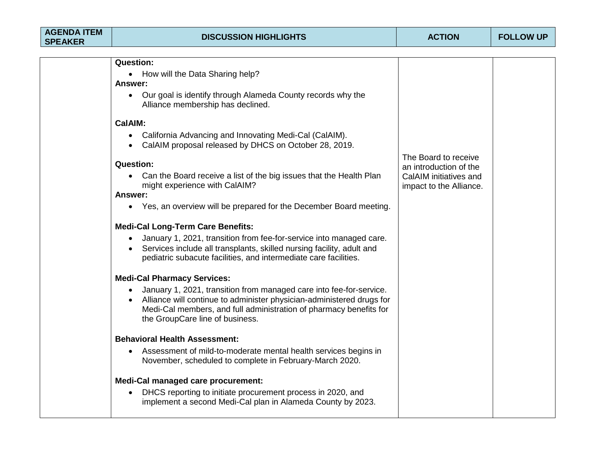| • How will the Data Sharing help?                                                                                                                                                                                                                     |                                                                                                                                                                                                                                                                               |                                                   |
|-------------------------------------------------------------------------------------------------------------------------------------------------------------------------------------------------------------------------------------------------------|-------------------------------------------------------------------------------------------------------------------------------------------------------------------------------------------------------------------------------------------------------------------------------|---------------------------------------------------|
|                                                                                                                                                                                                                                                       |                                                                                                                                                                                                                                                                               |                                                   |
| Our goal is identify through Alameda County records why the<br>Alliance membership has declined.                                                                                                                                                      |                                                                                                                                                                                                                                                                               |                                                   |
|                                                                                                                                                                                                                                                       |                                                                                                                                                                                                                                                                               |                                                   |
| California Advancing and Innovating Medi-Cal (CalAIM).<br>$\bullet$<br>CalAIM proposal released by DHCS on October 28, 2019.                                                                                                                          |                                                                                                                                                                                                                                                                               |                                                   |
|                                                                                                                                                                                                                                                       | The Board to receive                                                                                                                                                                                                                                                          |                                                   |
| Can the Board receive a list of the big issues that the Health Plan<br>$\bullet$                                                                                                                                                                      | CalAIM initiatives and                                                                                                                                                                                                                                                        |                                                   |
|                                                                                                                                                                                                                                                       |                                                                                                                                                                                                                                                                               |                                                   |
| • Yes, an overview will be prepared for the December Board meeting.                                                                                                                                                                                   |                                                                                                                                                                                                                                                                               |                                                   |
|                                                                                                                                                                                                                                                       |                                                                                                                                                                                                                                                                               |                                                   |
| January 1, 2021, transition from fee-for-service into managed care.<br>Services include all transplants, skilled nursing facility, adult and<br>pediatric subacute facilities, and intermediate care facilities.                                      |                                                                                                                                                                                                                                                                               |                                                   |
|                                                                                                                                                                                                                                                       |                                                                                                                                                                                                                                                                               |                                                   |
| January 1, 2021, transition from managed care into fee-for-service.<br>Alliance will continue to administer physician-administered drugs for<br>Medi-Cal members, and full administration of pharmacy benefits for<br>the GroupCare line of business. |                                                                                                                                                                                                                                                                               |                                                   |
|                                                                                                                                                                                                                                                       |                                                                                                                                                                                                                                                                               |                                                   |
| Assessment of mild-to-moderate mental health services begins in<br>$\bullet$<br>November, scheduled to complete in February-March 2020.                                                                                                               |                                                                                                                                                                                                                                                                               |                                                   |
|                                                                                                                                                                                                                                                       |                                                                                                                                                                                                                                                                               |                                                   |
| DHCS reporting to initiate procurement process in 2020, and<br>implement a second Medi-Cal plan in Alameda County by 2023.                                                                                                                            |                                                                                                                                                                                                                                                                               |                                                   |
|                                                                                                                                                                                                                                                       | <b>Question:</b><br>Answer:<br>CalAIM:<br><b>Question:</b><br>might experience with CalAIM?<br>Answer:<br><b>Medi-Cal Long-Term Care Benefits:</b><br><b>Medi-Cal Pharmacy Services:</b><br><b>Behavioral Health Assessment:</b><br><b>Medi-Cal managed care procurement:</b> | an introduction of the<br>impact to the Alliance. |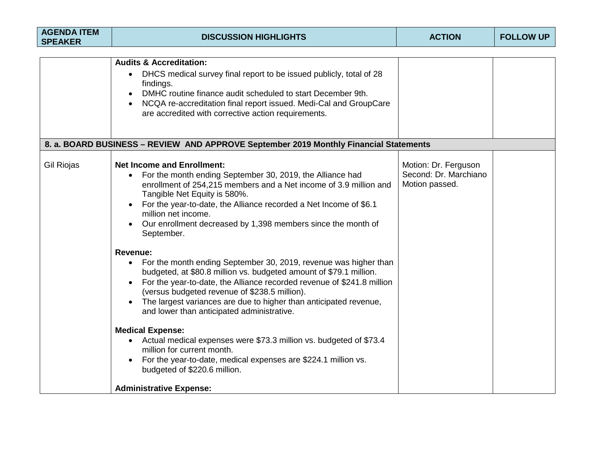| <b>AGENDA ITEM</b><br><b>SPEAKER</b> | <b>DISCUSSION HIGHLIGHTS</b>                                                                                                                                                                                                                                                                                                                                                                                                                                                                                                                                                                                                                                                                                                                                    | <b>ACTION</b>                                                   | <b>FOLLOW UP</b> |
|--------------------------------------|-----------------------------------------------------------------------------------------------------------------------------------------------------------------------------------------------------------------------------------------------------------------------------------------------------------------------------------------------------------------------------------------------------------------------------------------------------------------------------------------------------------------------------------------------------------------------------------------------------------------------------------------------------------------------------------------------------------------------------------------------------------------|-----------------------------------------------------------------|------------------|
|                                      |                                                                                                                                                                                                                                                                                                                                                                                                                                                                                                                                                                                                                                                                                                                                                                 |                                                                 |                  |
|                                      | <b>Audits &amp; Accreditation:</b><br>DHCS medical survey final report to be issued publicly, total of 28<br>$\bullet$<br>findings.<br>DMHC routine finance audit scheduled to start December 9th.<br>$\bullet$<br>NCQA re-accreditation final report issued. Medi-Cal and GroupCare<br>$\bullet$<br>are accredited with corrective action requirements.                                                                                                                                                                                                                                                                                                                                                                                                        |                                                                 |                  |
|                                      | 8. a. BOARD BUSINESS - REVIEW AND APPROVE September 2019 Monthly Financial Statements                                                                                                                                                                                                                                                                                                                                                                                                                                                                                                                                                                                                                                                                           |                                                                 |                  |
| <b>Gil Riojas</b>                    | <b>Net Income and Enrollment:</b><br>For the month ending September 30, 2019, the Alliance had<br>$\bullet$<br>enrollment of 254,215 members and a Net income of 3.9 million and<br>Tangible Net Equity is 580%.<br>For the year-to-date, the Alliance recorded a Net Income of \$6.1<br>million net income.<br>Our enrollment decreased by 1,398 members since the month of<br>September.<br>Revenue:<br>• For the month ending September 30, 2019, revenue was higher than<br>budgeted, at \$80.8 million vs. budgeted amount of \$79.1 million.<br>For the year-to-date, the Alliance recorded revenue of \$241.8 million<br>(versus budgeted revenue of \$238.5 million).<br>The largest variances are due to higher than anticipated revenue,<br>$\bullet$ | Motion: Dr. Ferguson<br>Second: Dr. Marchiano<br>Motion passed. |                  |
|                                      | and lower than anticipated administrative.<br><b>Medical Expense:</b><br>• Actual medical expenses were \$73.3 million vs. budgeted of \$73.4<br>million for current month.<br>For the year-to-date, medical expenses are \$224.1 million vs.<br>$\bullet$<br>budgeted of \$220.6 million.<br><b>Administrative Expense:</b>                                                                                                                                                                                                                                                                                                                                                                                                                                    |                                                                 |                  |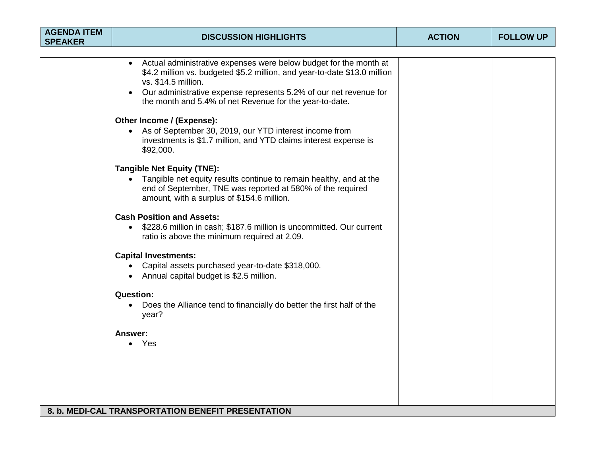| <b>AGENDA ITEM</b><br><b>SPEAKER</b> | <b>DISCUSSION HIGHLIGHTS</b>                                                                                                                                                                                                                                                                          | <b>ACTION</b> | <b>FOLLOW UP</b> |
|--------------------------------------|-------------------------------------------------------------------------------------------------------------------------------------------------------------------------------------------------------------------------------------------------------------------------------------------------------|---------------|------------------|
|                                      |                                                                                                                                                                                                                                                                                                       |               |                  |
|                                      | Actual administrative expenses were below budget for the month at<br>\$4.2 million vs. budgeted \$5.2 million, and year-to-date \$13.0 million<br>vs. \$14.5 million.<br>Our administrative expense represents 5.2% of our net revenue for<br>the month and 5.4% of net Revenue for the year-to-date. |               |                  |
|                                      | Other Income / (Expense):<br>• As of September 30, 2019, our YTD interest income from<br>investments is \$1.7 million, and YTD claims interest expense is<br>\$92,000.                                                                                                                                |               |                  |
|                                      | <b>Tangible Net Equity (TNE):</b><br>• Tangible net equity results continue to remain healthy, and at the<br>end of September, TNE was reported at 580% of the required<br>amount, with a surplus of \$154.6 million.                                                                                 |               |                  |
|                                      | <b>Cash Position and Assets:</b><br>• \$228.6 million in cash; \$187.6 million is uncommitted. Our current<br>ratio is above the minimum required at 2.09.                                                                                                                                            |               |                  |
|                                      | <b>Capital Investments:</b><br>• Capital assets purchased year-to-date \$318,000.<br>• Annual capital budget is \$2.5 million.                                                                                                                                                                        |               |                  |
|                                      | <b>Question:</b><br>• Does the Alliance tend to financially do better the first half of the<br>year?                                                                                                                                                                                                  |               |                  |
|                                      | Answer:<br>• Yes                                                                                                                                                                                                                                                                                      |               |                  |
|                                      | 8. b. MEDI-CAL TRANSPORTATION BENEFIT PRESENTATION                                                                                                                                                                                                                                                    |               |                  |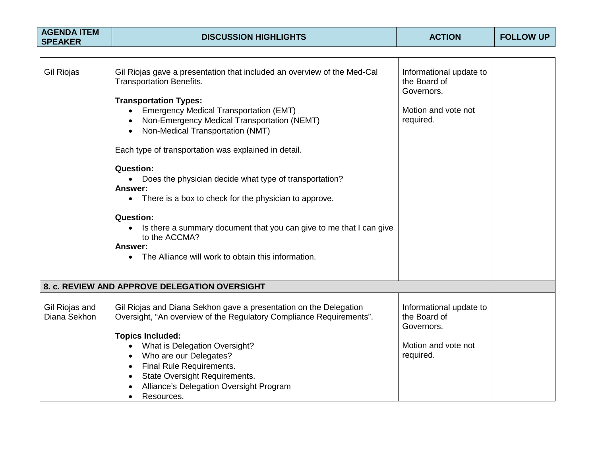| <b>AGENDA ITEM</b><br><b>SPEAKER</b> | <b>DISCUSSION HIGHLIGHTS</b>                                                                                                                                                                                                                                                                                                                                                                                                                                                                                                                                                                                                                                                                                                         | <b>ACTION</b>                                                                             | <b>FOLLOW UP</b> |
|--------------------------------------|--------------------------------------------------------------------------------------------------------------------------------------------------------------------------------------------------------------------------------------------------------------------------------------------------------------------------------------------------------------------------------------------------------------------------------------------------------------------------------------------------------------------------------------------------------------------------------------------------------------------------------------------------------------------------------------------------------------------------------------|-------------------------------------------------------------------------------------------|------------------|
|                                      |                                                                                                                                                                                                                                                                                                                                                                                                                                                                                                                                                                                                                                                                                                                                      |                                                                                           |                  |
| <b>Gil Riojas</b>                    | Gil Riojas gave a presentation that included an overview of the Med-Cal<br><b>Transportation Benefits.</b><br><b>Transportation Types:</b><br>• Emergency Medical Transportation (EMT)<br>Non-Emergency Medical Transportation (NEMT)<br>Non-Medical Transportation (NMT)<br>$\bullet$<br>Each type of transportation was explained in detail.<br><b>Question:</b><br>• Does the physician decide what type of transportation?<br><b>Answer:</b><br>There is a box to check for the physician to approve.<br>$\bullet$<br><b>Question:</b><br>Is there a summary document that you can give to me that I can give<br>$\bullet$<br>to the ACCMA?<br><b>Answer:</b><br>The Alliance will work to obtain this information.<br>$\bullet$ | Informational update to<br>the Board of<br>Governors.<br>Motion and vote not<br>required. |                  |
|                                      |                                                                                                                                                                                                                                                                                                                                                                                                                                                                                                                                                                                                                                                                                                                                      |                                                                                           |                  |
|                                      | 8. c. REVIEW AND APPROVE DELEGATION OVERSIGHT                                                                                                                                                                                                                                                                                                                                                                                                                                                                                                                                                                                                                                                                                        |                                                                                           |                  |
| Gil Riojas and<br>Diana Sekhon       | Gil Riojas and Diana Sekhon gave a presentation on the Delegation<br>Oversight, "An overview of the Regulatory Compliance Requirements".<br><b>Topics Included:</b>                                                                                                                                                                                                                                                                                                                                                                                                                                                                                                                                                                  | Informational update to<br>the Board of<br>Governors.                                     |                  |
|                                      | <b>What is Delegation Oversight?</b><br>$\bullet$<br>Who are our Delegates?<br>$\bullet$<br><b>Final Rule Requirements.</b><br>$\bullet$<br><b>State Oversight Requirements.</b><br>$\bullet$<br>Alliance's Delegation Oversight Program<br>Resources.<br>$\bullet$                                                                                                                                                                                                                                                                                                                                                                                                                                                                  | Motion and vote not<br>required.                                                          |                  |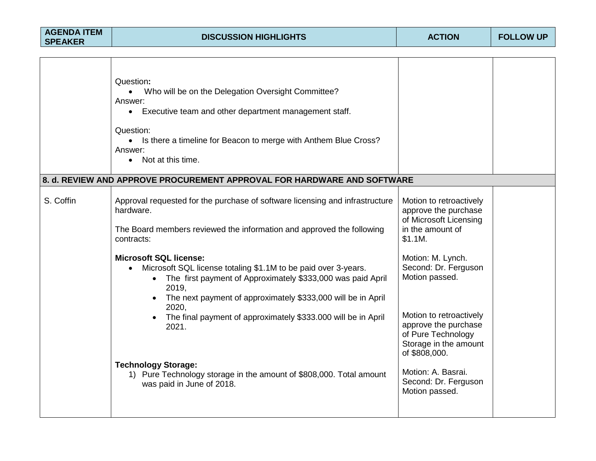| <b>AGENDA ITEM</b> |  |
|--------------------|--|
| <b>SPEAKER</b>     |  |

|           | Question:<br>Who will be on the Delegation Oversight Committee?<br>$\bullet$<br>Answer:<br>Executive team and other department management staff.<br>$\bullet$<br>Question:<br>• Is there a timeline for Beacon to merge with Anthem Blue Cross?                                                                                                                   |                                                                                                                                                                                |  |
|-----------|-------------------------------------------------------------------------------------------------------------------------------------------------------------------------------------------------------------------------------------------------------------------------------------------------------------------------------------------------------------------|--------------------------------------------------------------------------------------------------------------------------------------------------------------------------------|--|
|           | Answer:<br>Not at this time.<br>$\bullet$                                                                                                                                                                                                                                                                                                                         |                                                                                                                                                                                |  |
|           | 8. d. REVIEW AND APPROVE PROCUREMENT APPROVAL FOR HARDWARE AND SOFTWARE                                                                                                                                                                                                                                                                                           |                                                                                                                                                                                |  |
| S. Coffin | Approval requested for the purchase of software licensing and infrastructure<br>hardware.<br>The Board members reviewed the information and approved the following<br>contracts:                                                                                                                                                                                  | Motion to retroactively<br>approve the purchase<br>of Microsoft Licensing<br>in the amount of<br>\$1.1M.                                                                       |  |
|           | <b>Microsoft SQL license:</b><br>Microsoft SQL license totaling \$1.1M to be paid over 3-years.<br>The first payment of Approximately \$333,000 was paid April<br>$\bullet$<br>2019,<br>The next payment of approximately \$333,000 will be in April<br>$\bullet$<br>2020,<br>The final payment of approximately \$333.000 will be in April<br>$\bullet$<br>2021. | Motion: M. Lynch.<br>Second: Dr. Ferguson<br>Motion passed.<br>Motion to retroactively<br>approve the purchase<br>of Pure Technology<br>Storage in the amount<br>of \$808,000. |  |
|           | <b>Technology Storage:</b><br>1) Pure Technology storage in the amount of \$808,000. Total amount<br>was paid in June of 2018.                                                                                                                                                                                                                                    | Motion: A. Basrai.<br>Second: Dr. Ferguson<br>Motion passed.                                                                                                                   |  |